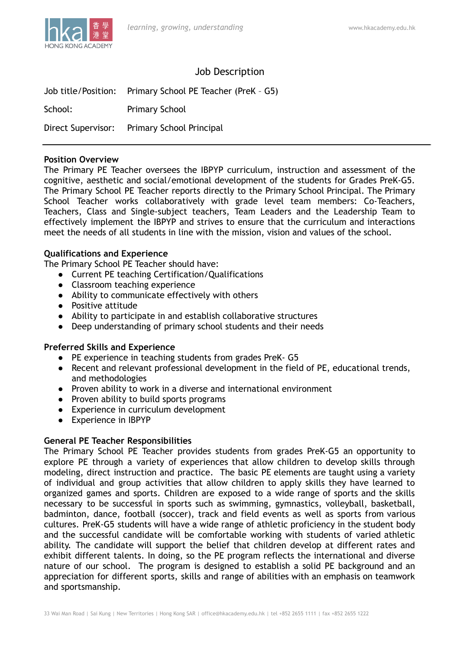

# Job Description

|                    | Job title/Position: Primary School PE Teacher (PreK - G5) |
|--------------------|-----------------------------------------------------------|
| School:            | <b>Primary School</b>                                     |
| Direct Supervisor: | <b>Primary School Principal</b>                           |

#### **Position Overview**

The Primary PE Teacher oversees the IBPYP curriculum, instruction and assessment of the cognitive, aesthetic and social/emotional development of the students for Grades PreK-G5. The Primary School PE Teacher reports directly to the Primary School Principal. The Primary School Teacher works collaboratively with grade level team members: Co-Teachers, Teachers, Class and Single-subject teachers, Team Leaders and the Leadership Team to effectively implement the IBPYP and strives to ensure that the curriculum and interactions meet the needs of all students in line with the mission, vision and values of the school.

### **Qualifications and Experience**

The Primary School PE Teacher should have:

- **●** Current PE teaching Certification/Qualifications
- Classroom teaching experience
- **●** Ability to communicate effectively with others
- **●** Positive attitude
- **●** Ability to participate in and establish collaborative structures
- **●** Deep understanding of primary school students and their needs

### **Preferred Skills and Experience**

- **●** PE experience in teaching students from grades PreK- G5
- **●** Recent and relevant professional development in the field of PE, educational trends, and methodologies
- Proven ability to work in a diverse and international environment
- Proven ability to build sports programs
- Experience in curriculum development
- Experience in IBPYP

### **General PE Teacher Responsibilities**

The Primary School PE Teacher provides students from grades PreK-G5 an opportunity to explore PE through a variety of experiences that allow children to develop skills through modeling, direct instruction and practice. The basic PE elements are taught using a variety of individual and group activities that allow children to apply skills they have learned to organized games and sports. Children are exposed to a wide range of sports and the skills necessary to be successful in sports such as swimming, gymnastics, volleyball, basketball, badminton, dance, football (soccer), track and field events as well as sports from various cultures. PreK-G5 students will have a wide range of athletic proficiency in the student body and the successful candidate will be comfortable working with students of varied athletic ability. The candidate will support the belief that children develop at different rates and exhibit different talents. In doing, so the PE program reflects the international and diverse nature of our school. The program is designed to establish a solid PE background and an appreciation for different sports, skills and range of abilities with an emphasis on teamwork and sportsmanship.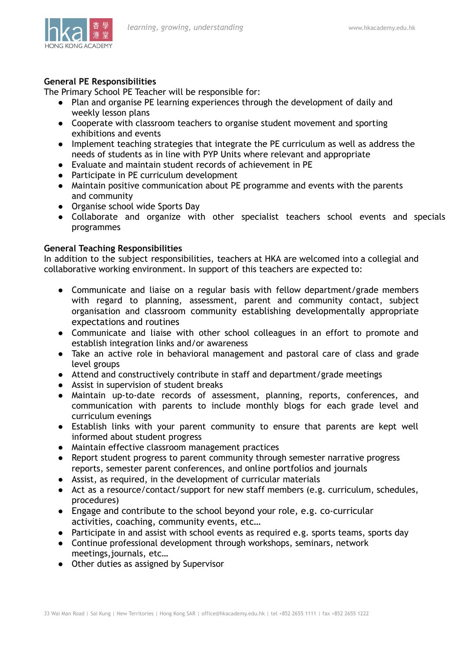

# **General PE Responsibilities**

The Primary School PE Teacher will be responsible for:

- Plan and organise PE learning experiences through the development of daily and weekly lesson plans
- **●** Cooperate with classroom teachers to organise student movement and sporting exhibitions and events
- **●** Implement teaching strategies that integrate the PE curriculum as well as address the needs of students as in line with PYP Units where relevant and appropriate
- **●** Evaluate and maintain student records of achievement in PE
- **●** Participate in PE curriculum development
- **●** Maintain positive communication about PE programme and events with the parents and community
- Organise school wide Sports Day
- **●** Collaborate and organize with other specialist teachers school events and specials programmes

## **General Teaching Responsibilities**

In addition to the subject responsibilities, teachers at HKA are welcomed into a collegial and collaborative working environment. In support of this teachers are expected to:

- Communicate and liaise on a regular basis with fellow department/grade members with regard to planning, assessment, parent and community contact, subject organisation and classroom community establishing developmentally appropriate expectations and routines
- Communicate and liaise with other school colleagues in an effort to promote and establish integration links and/or awareness
- Take an active role in behavioral management and pastoral care of class and grade level groups
- Attend and constructively contribute in staff and department/grade meetings
- Assist in supervision of student breaks
- Maintain up-to-date records of assessment, planning, reports, conferences, and communication with parents to include monthly blogs for each grade level and curriculum evenings
- Establish links with your parent community to ensure that parents are kept well informed about student progress
- Maintain effective classroom management practices
- Report student progress to parent community through semester narrative progress reports, semester parent conferences, and online portfolios and journals
- Assist, as required, in the development of curricular materials
- Act as a resource/contact/support for new staff members (e.g. curriculum, schedules, procedures)
- Engage and contribute to the school beyond your role, e.g. co-curricular activities, coaching, community events, etc…
- Participate in and assist with school events as required e.g. sports teams, sports day
- Continue professional development through workshops, seminars, network meetings,journals, etc…
- Other duties as assigned by Supervisor